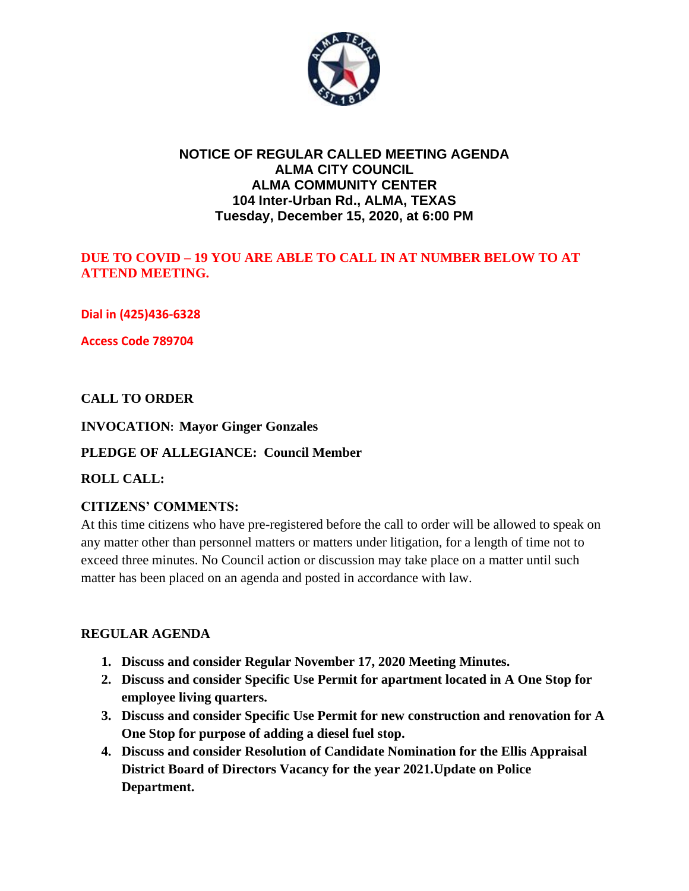

## **NOTICE OF REGULAR CALLED MEETING AGENDA ALMA CITY COUNCIL ALMA COMMUNITY CENTER 104 Inter-Urban Rd., ALMA, TEXAS Tuesday, December 15, 2020, at 6:00 PM**

## **DUE TO COVID – 19 YOU ARE ABLE TO CALL IN AT NUMBER BELOW TO AT ATTEND MEETING.**

**Dial in (425)436-6328**

**Access Code 789704**

## **CALL TO ORDER**

### **INVOCATION: Mayor Ginger Gonzales**

#### **PLEDGE OF ALLEGIANCE: Council Member**

#### **ROLL CALL:**

## **CITIZENS' COMMENTS:**

At this time citizens who have pre-registered before the call to order will be allowed to speak on any matter other than personnel matters or matters under litigation, for a length of time not to exceed three minutes. No Council action or discussion may take place on a matter until such matter has been placed on an agenda and posted in accordance with law.

#### **REGULAR AGENDA**

- **1. Discuss and consider Regular November 17, 2020 Meeting Minutes.**
- **2. Discuss and consider Specific Use Permit for apartment located in A One Stop for employee living quarters.**
- **3. Discuss and consider Specific Use Permit for new construction and renovation for A One Stop for purpose of adding a diesel fuel stop.**
- **4. Discuss and consider Resolution of Candidate Nomination for the Ellis Appraisal District Board of Directors Vacancy for the year 2021.Update on Police Department.**